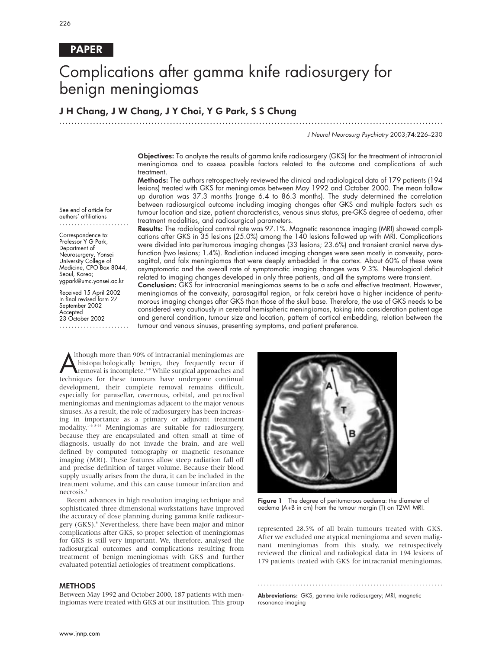# PAPER

# Complications after gamma knife radiosurgery for benign meningiomas

.............................................................................................................................

## J H Chang, J W Chang, J Y Choi, Y G Park, S S Chung

J Neurol Neurosurg Psychiatry 2003;74:226–230

Objectives: To analyse the results of gamma knife radiosurgery (GKS) for the trreatment of intracranial meningiomas and to assess possible factors related to the outcome and complications of such treatment.

Methods: The authors retrospectively reviewed the clinical and radiological data of 179 patients (194 lesions) treated with GKS for meningiomas between May 1992 and October 2000. The mean follow up duration was 37.3 months (range 6.4 to 86.3 months). The study determined the correlation between radiosurgical outcome including imaging changes after GKS and multiple factors such as tumour location and size, patient characteristics, venous sinus status, pre-GKS degree of oedema, other treatment modalities, and radiosurgical parameters.

See end of article for authors' affiliations

Correspondence to: Professor Y G Park, Department of Neurosurgery, Yonsei University College of Medicine, CPO Box 8044, Seoul, Korea; ygpark@umc.yonsei.ac.kr

Received 15 April 2002 In final revised form 27 September 2002 Accepted 23 October 2002 ....................... Results: The radiological control rate was 97.1%. Magnetic resonance imaging (MRI) showed complications after GKS in 35 lesions (25.0%) among the 140 lesions followed up with MRI. Complications were divided into peritumorous imaging changes (33 lesions; 23.6%) and transient cranial nerve dysfunction (two lesions; 1.4%). Radiation induced imaging changes were seen mostly in convexity, parasagittal, and falx meningiomas that were deeply embedded in the cortex. About 60% of these were asymptomatic and the overall rate of symptomatic imaging changes was 9.3%. Neurological deficit related to imaging changes developed in only three patients, and all the symptoms were transient. **Conclusion:** GKS for intracranial meningiomas seems to be a safe and effective treatment. However,

meningiomas of the convexity, parasagittal region, or falx cerebri have a higher incidence of peritumorous imaging changes after GKS than those of the skull base. Therefore, the use of GKS needs to be considered very cautiously in cerebral hemispheric meningiomas, taking into consideration patient age and general condition, tumour size and location, pattern of cortical embedding, relation between the tumour and venous sinuses, presenting symptoms, and patient preference.

Although more than 90% of intracranial meningiomas are<br>histopathologically benign, they frequently recur if<br>techniques for these tumours have undergone continual<br>dechniques for these tumours have undergone continual lthough more than 90% of intracranial meningiomas are histopathologically benign, they frequently recur if removal is incomplete.1–9 While surgical approaches and development, their complete removal remains difficult, especially for parasellar, cavernous, orbital, and petroclival meningiomas and meningiomas adjacent to the major venous sinuses. As a result, the role of radiosurgery has been increasing in importance as a primary or adjuvant treatment modality.<sup>1–6 8–16</sup> Meningiomas are suitable for radiosurgery, because they are encapsulated and often small at time of diagnosis, usually do not invade the brain, and are well defined by computed tomography or magnetic resonance imaging (MRI). These features allow steep radiation fall off and precise definition of target volume. Because their blood supply usually arises from the dura, it can be included in the treatment volume, and this can cause tumour infarction and necrosis.<sup>5</sup>

Recent advances in high resolution imaging technique and sophisticated three dimensional workstations have improved the accuracy of dose planning during gamma knife radiosurgery (GKS).<sup>6</sup> Nevertheless, there have been major and minor complications after GKS, so proper selection of meningiomas for GKS is still very important. We, therefore, analysed the radiosurgical outcomes and complications resulting from treatment of benign meningiomas with GKS and further evaluated potential aetiologies of treatment complications.

#### METHODS

Between May 1992 and October 2000, 187 patients with meningiomas were treated with GKS at our institution. This group



Figure 1 The degree of peritumorous oedema: the diameter of oedema (A+B in cm) from the tumour margin (T) on T2WI MRI.

represented 28.5% of all brain tumours treated with GKS. After we excluded one atypical meningioma and seven malignant meningiomas from this study, we retrospectively reviewed the clinical and radiological data in 194 lesions of 179 patients treated with GKS for intracranial meningiomas.

.............................................................

Abbreviations: GKS, gamma knife radiosurgery; MRI, magnetic resonance imaging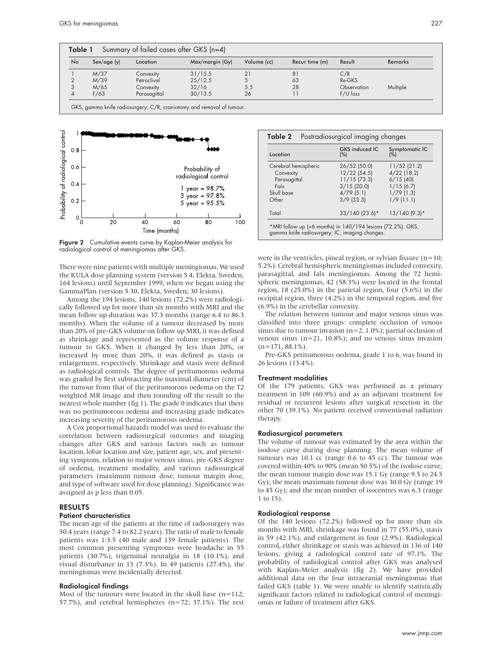| No | Sex/age(y) | Location     | Max/margin (Gy) | Volume (cc) | Recur time (m) | Result      | <b>Remarks</b>  |
|----|------------|--------------|-----------------|-------------|----------------|-------------|-----------------|
|    | M/37       | Convexity    | 31/15.5         | 21          | 81             | C/R         |                 |
|    | M/39       | Petroclival  | 25/12.5         |             | 63             | Re-GKS      |                 |
|    | M/65       | Convexity    | 32/16           | 5.5         | 28             | Observation | <b>Multiple</b> |
| 4  | F/63       | Parasagittal | 30/13.5         | 26          |                | $F/U$ loss  |                 |



Figure 2 Cumulative events curve by Kaplan-Meier analysis for radiological control of meningiomas after GKS.

There were nine patients with multiple meningiomas. We used the KULA dose planning system (version 5.4, Elekta, Sweden; 164 lesions) until September 1999, when we began using the GammaPlan (version 5.30, Elekta, Sweden; 30 lesions).

Among the 194 lesions, 140 lesions (72.2%) were radiologically followed up for more than six months with MRI and the mean follow up duration was 37.3 months (range 6.4 to 86.3 months). When the volume of a tumour decreased by more than 20% of pre-GKS volume on follow up MRI, it was defined as shrinkage and represented as the volume response of a tumour to GKS. When it changed by less than 20%, or increased by more than 20%, it was defined as stasis or enlargement, respectively. Shrinkage and stasis were defined as radiological controls. The degree of peritumorous oedema was graded by first subtracting the maximal diameter (cm) of the tumour from that of the peritumorous oedema on the T2 weighted MR image and then rounding off the result to the nearest whole number (fig 1). The grade 0 indicates that there was no peritumorous oedema and increasing grade indicates increasing severity of the peritumorous oedema.

A Cox proportional hazards model was used to evaluate the correlation between radiosurgical outcomes and imaging changes after GKS and various factors such as tumour location, lobar location and size, patient age, sex, and presenting symptom, relation to major venous sinus, pre-GKS degree of oedema, treatment modality, and various radiosurgical parameters (maximum tumour dose, tumour margin dose, and type of software used for dose planning). Significance was assigned as p less than 0.05.

#### RESULTS

#### Patient characteristics

The mean age of the patients at the time of radiosurgery was 50.4 years (range 7.4 to 82.2 years). The ratio of male to female patients was 1:3.5 (40 male and 139 female patients). The most common presenting symptoms were headache in 55 patients (30.7%), trigeminal neuralgia in 18 (10.1%), and visual disturbance in 13 (7.3%). In 49 patients (27.4%), the meningiomas were incidentally detected.

#### Radiological findings

Most of the tumours were located in the skull base  $(n=112;$ 57.7%), and cerebral hemispheres (n=72; 37.1%). The rest

| Postradiosurgical imaging changes<br>Table 2 |  |
|----------------------------------------------|--|
|----------------------------------------------|--|

| Location             | <b>GKS</b> induced IC<br>(% )                                                                                 | Symptomatic IC<br>$(\%)$ |  |  |  |  |
|----------------------|---------------------------------------------------------------------------------------------------------------|--------------------------|--|--|--|--|
| Cerebral hemispheric | 26/52 (50.0)                                                                                                  | $11/52$ (21.2)           |  |  |  |  |
| Convexity            | $12/22$ (54.5)                                                                                                | $4/22$ (18.2)            |  |  |  |  |
| Parasagittal         | $11/15$ (73.3)                                                                                                | $6/15$ (40)              |  |  |  |  |
| Falx                 | $3/15$ (20.0)                                                                                                 | 1/15(6.7)                |  |  |  |  |
| Skull base           | $4/79$ (5.1)                                                                                                  | $1/79$ (1.3)             |  |  |  |  |
| Other                | $3/9$ (33.3)                                                                                                  | 1/9(11.1)                |  |  |  |  |
| Total                | $33/140$ (23.6)*                                                                                              | $13/140$ (9.3)*          |  |  |  |  |
|                      | *MRI follow up (>6 months) in 140/194 lesions (72.2%). GKS,<br>gamma knife radiosurgery; IC, imaging changes. |                          |  |  |  |  |

were in the ventricles, pineal region, or sylvian fissure  $(n=10;$ 5.2%). Cerebral hemispheric meningiomas included convexity, parasagittal, and falx meningiomas. Among the 72 hemispheric meningiomas, 42 (58.3%) were located in the frontal region, 18 (25.0%) in the parietal region, four (5.6%) in the occipital region, three (4.2%) in the temporal region, and five (6.9%) in the cerebellar convexity.

The relation between tumour and major venous sinus was classified into three groups: complete occlusion of venous sinus due to tumour invasion (n=2, 1.0%); partial occlusion of venous sinus  $(n=21, 10.8\%)$ ; and no venous sinus invasion  $(n=171, 88.1\%)$ .

Pre-GKS peritumorous oedema, grade 1 to 6, was found in 26 lesions (13.4%).

#### Treatment modalities

Of the 179 patients, GKS was performed as a primary treatment in 109 (60.9%) and as an adjuvant treatment for residual or recurrent lesions after surgical resection in the other 70 (39.1%). No patient received conventional radiation therapy.

#### Radiosurgical parameters

The volume of tumour was estimated by the area within the isodose curve during dose planning. The mean volume of tumours was 10.1 cc (range 0.6 to 45 cc). The tumour was covered within 40% to 90% (mean 50.5%) of the isodose curve; the mean tumour margin dose was 15.1 Gy (range 9.5 to 24.5 Gy); the mean maximum tumour dose was 30.0 Gy (range 19 to 45 Gy); and the mean number of isocentres was 6.3 (range 1 to 15).

#### Radiological response

Of the 140 lesions (72.2%) followed up for more than six months with MRI, shrinkage was found in 77 (55.0%), stasis in 59 (42.1%), and enlargement in four (2.9%). Radiological control, either shrinkage or stasis was achieved in 136 of 140 lesions, giving a radiological control rate of 97.1%. The probability of radiological control after GKS was analysed with Kaplan-Meier analysis (fig 2). We have provided additional data on the four intracranial meningiomas that failed GKS (table 1). We were unable to identify statistically significant factors related to radiological control of meningiomas or failure of treatment after GKS.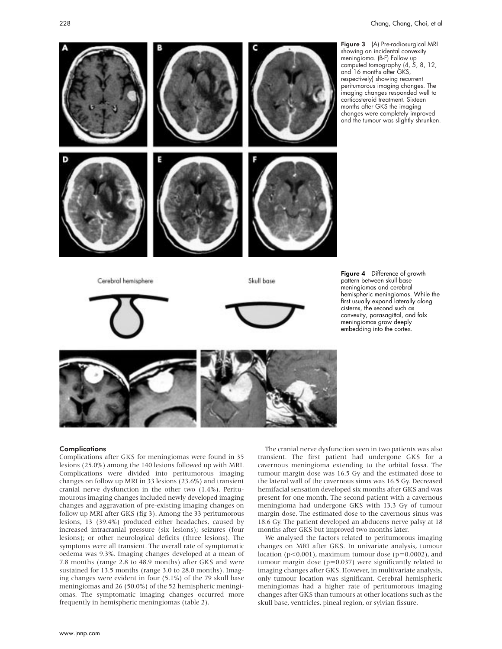

Figure 4 Difference of growth pattern between skull base meningiomas and cerebral hemispheric meningiomas. While the first usually expand laterally along cisterns, the second such as convexity, parasagittal, and falx meningiomas grow deeply embedding into the cortex.

#### **Complications**

Complications after GKS for meningiomas were found in 35 lesions (25.0%) among the 140 lesions followed up with MRI. Complications were divided into peritumorous imaging changes on follow up MRI in 33 lesions (23.6%) and transient cranial nerve dysfunction in the other two (1.4%). Peritumourous imaging changes included newly developed imaging changes and aggravation of pre-existing imaging changes on follow up MRI after GKS (fig 3). Among the 33 peritumorous lesions, 13 (39.4%) produced either headaches, caused by increased intracranial pressure (six lesions); seizures (four lesions); or other neurological deficits (three lesions). The symptoms were all transient. The overall rate of symptomatic oedema was 9.3%. Imaging changes developed at a mean of 7.8 months (range 2.8 to 48.9 months) after GKS and were sustained for 13.5 months (range 3.0 to 28.0 months). Imaging changes were evident in four (5.1%) of the 79 skull base meningiomas and 26 (50.0%) of the 52 hemispheric meningiomas. The symptomatic imaging changes occurred more frequently in hemispheric meningiomas (table 2).

The cranial nerve dysfunction seen in two patients was also transient. The first patient had undergone GKS for a cavernous meningioma extending to the orbital fossa. The tumour margin dose was 16.5 Gy and the estimated dose to the lateral wall of the cavernous sinus was 16.5 Gy. Decreased hemifacial sensation developed six months after GKS and was present for one month. The second patient with a cavernous meningioma had undergone GKS with 13.3 Gy of tumour margin dose. The estimated dose to the cavernous sinus was 18.6 Gy. The patient developed an abducens nerve palsy at 18 months after GKS but improved two months later.

We analysed the factors related to peritumorous imaging changes on MRI after GKS. In univariate analysis, tumour location  $(p<0.001)$ , maximum tumour dose  $(p=0.0002)$ , and tumour margin dose (p=0.037) were significantly related to imaging changes after GKS. However, in multivariate analysis, only tumour location was significant. Cerebral hemispheric meningiomas had a higher rate of peritumorous imaging changes after GKS than tumours at other locations such as the skull base, ventricles, pineal region, or sylvian fissure.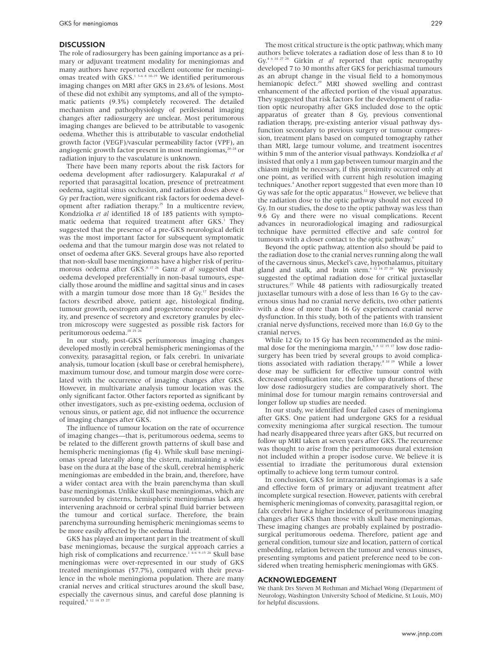#### **DISCUSSION**

The role of radiosurgery has been gaining importance as a primary or adjuvant treatment modality for meningiomas and many authors have reported excellent outcome for meningiomas treated with GKS.<sup>1 3–6 8 10–19</sup> We identified peritumorous imaging changes on MRI after GKS in 23.6% of lesions. Most of these did not exhibit any symptoms, and all of the symptomatic patients (9.3%) completely recovered. The detailed mechanism and pathophysiology of perilesional imaging changes after radiosurgery are unclear. Most peritumorous imaging changes are believed to be attributable to vasogenic oedema. Whether this is attributable to vascular endothelial growth factor (VEGF)/vascular permeability factor (VPF), an angiogenic growth factor present in most meningiomas, $20-24$  or radiation injury to the vasculature is unknown.

There have been many reports about the risk factors for oedema development after radiosurgery. Kalapurakal *et al* reported that parasagittal location, presence of pretreatment oedema, sagittal sinus occlusion, and radiation doses above 6 Gy per fraction, were significant risk factors for oedema development after radiation therapy.<sup>25</sup> In a multicentre review, Kondziolka *et al* identified 18 of 185 patients with symptomatic oedema that required treatment after GKS.<sup>3</sup> They suggested that the presence of a pre-GKS neurological deficit was the most important factor for subsequent symptomatic oedema and that the tumour margin dose was not related to onset of oedema after GKS. Several groups have also reported that non-skull base meningiomas have a higher risk of peritumorous oedema after GKS.8 17 26 Ganz *et al* suggested that oedema developed preferentially in non-basal tumours, especially those around the midline and sagittal sinus and in cases with a margin tumour dose more than 18 Gy.<sup>17</sup> Besides the factors described above, patient age, histological finding, tumour growth, oestrogen and progesterone receptor positivity, and presence of secretory and excretory granules by electron microscopy were suggested as possible risk factors for peritumorous oedema.<sup>18</sup> <sup>25</sup>

In our study, post-GKS peritumorous imaging changes developed mostly in cerebral hemispheric meningiomas of the convexity, parasagittal region, or falx cerebri. In univariate analysis, tumour location (skull base or cerebral hemisphere), maximum tumour dose, and tumour margin dose were correlated with the occurrence of imaging changes after GKS. However, in multivariate analysis tumour location was the only significant factor. Other factors reported as significant by other investigators, such as pre-existing oedema, occlusion of venous sinus, or patient age, did not influence the occurrence of imaging changes after GKS.

The influence of tumour location on the rate of occurrence of imaging changes—that is, peritumorous oedema, seems to be related to the different growth patterns of skull base and hemispheric meningiomas (fig 4). While skull base meningiomas spread laterally along the cistern, maintaining a wide base on the dura at the base of the skull, cerebral hemispheric meningiomas are embedded in the brain, and, therefore, have a wider contact area with the brain parenchyma than skull base meningiomas. Unlike skull base meningiomas, which are surrounded by cisterns, hemispheric meningiomas lack any intervening arachnoid or cerbral spinal fluid barrier between the tumour and cortical surface. Therefore, the brain parenchyma surrounding hemispheric meningiomas seems to be more easily affected by the oedema fluid.

GKS has played an important part in the treatment of skull base meningiomas, because the surgical approach carries a high risk of complications and recurrence.<sup>14-6 9-15</sup> 26 Skull base meningiomas were over-represented in our study of GKS treated meningiomas (57.7%), compared with their prevalence in the whole meningioma population. There are many cranial nerves and critical structures around the skull base, especially the cavernous sinus, and careful dose planning is required.<sup>6 12 14 15 27</sup>

The most critical structure is the optic pathway, which many authors believe tolerates a radiation dose of less than 8 to 10 Gy.4 6 14 27 28 Girkin *et al* reported that optic neuropathy developed 7 to 30 months after GKS for perichiasmal tumours as an abrupt change in the visual field to a homonymous hemianopic defect.<sup>29</sup> MRI showed swelling and contrast enhancement of the affected portion of the visual apparatus. They suggested that risk factors for the development of radiation optic neuropathy after GKS included dose to the optic apparatus of greater than 8 Gy, previous conventional radiation therapy, pre-existing anterior visual pathway dysfunction secondary to previous surgery or tumour compression, treatment plans based on computed tomography rather than MRI, large tumour volume, and treatment isocentres within 5 mm of the anterior visual pathways. Kondziolka *et al* insisted that only a 1 mm gap between tumour margin and the chiasm might be necessary, if this proximity occurred only at one point, as verified with current high resolution imaging techniques.<sup>4</sup> Another report suggested that even more than 10 Gy was safe for the optic apparatus.<sup>12</sup> However, we believe that the radiation dose to the optic pathway should not exceed 10 Gy. In our studies, the dose to the optic pathway was less than 9.6 Gy and there were no visual complications. Recent advances in neuroradiological imaging and radiosurgical technique have permitted effective and safe control for tumours with a closer contact to the optic pathway.<sup>6</sup>

Beyond the optic pathway, attention also should be paid to the radiation dose to the cranial nerves running along the wall of the cavernous sinus, Meckel's cave, hypothalamus, pituitary gland and stalk, and brain stem.<sup>6 12 14 27 28</sup> We previously suggested the optimal radiation dose for critical juxtasellar structures.<sup>27</sup> While 48 patients with radiosurgically treated juxtasellar tumours with a dose of less than 16 Gy to the cavernous sinus had no cranial nerve deficits, two other patients with a dose of more than 16 Gy experienced cranial nerve dysfunction. In this study, both of the patients with transient cranial nerve dysfunctions, received more than 16.0 Gy to the cranial nerves.

While 12 Gy to 15 Gy has been recommended as the minimal dose for the meningioma margin,<sup>6 8 12 15 17</sup> low dose radiosurgery has been tried by several groups to avoid complications associated with radiation therapy.8 10 19 While a lower dose may be sufficient for effective tumour control with decreased complication rate, the follow up durations of these low dose radiosurgery studies are comparatively short. The minimal dose for tumour margin remains controversial and longer follow up studies are needed.

In our study, we identified four failed cases of meningioma after GKS. One patient had undergone GKS for a residual convexity meningioma after surgical resection. The tumour had nearly disappeared three years after GKS, but recurred on follow up MRI taken at seven years after GKS. The recurrence was thought to arise from the peritumorous dural extension not included within a proper isodose curve. We believe it is essential to irradiate the peritumorous dural extension optimally to achieve long term tumour control.

In conclusion, GKS for intracranial meningiomas is a safe and effective form of primary or adjuvant treatment after incomplete surgical resection. However, patients with cerebral hemispheric meningiomas of convexity, parasagittal region, or falx cerebri have a higher incidence of peritumorous imaging changes after GKS than those with skull base meningiomas. These imaging changes are probably explained by postradiosurgical peritumorous oedema. Therefore, patient age and general condition, tumour size and location, pattern of cortical embedding, relation between the tumour and venous sinuses, presenting symptoms and patient preference need to be considered when treating hemispheric meningiomas with GKS.

#### ACKNOWLEDGEMENT

We thank Drs Steven M Rothman and Michael Wong (Department of Neurology, Washington University School of Medicine, St Louis, MO) for helpful discussions.